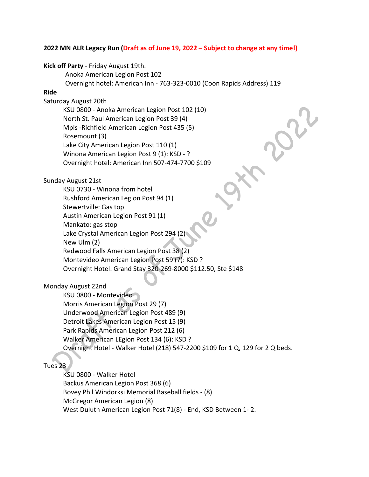## **2022 MN ALR Legacy Run (Draft as of June 19, 2022 – Subject to change at any time!)**

## **Kick off Party** - Friday August 19th.

Anoka American Legion Post 102

Overnight hotel: American Inn - 763-323-0010 (Coon Rapids Address) 119

# **Ride**

Saturday August 20th

 KSU 0800 - Anoka American Legion Post 102 (10) North St. Paul American Legion Post 39 (4) Mpls -Richfield American Legion Post 435 (5) Rosemount (3) Lake City American Legion Post 110 (1) Winona American Legion Post 9 (1): KSD - ? Overnight hotel: American Inn 507-474-7700 \$109

### Sunday August 21st

 KSU 0730 - Winona from hotel Rushford American Legion Post 94 (1) Stewertville: Gas top Austin American Legion Post 91 (1) Mankato: gas stop Lake Crystal American Legion Post 294 (2) New Ulm (2) Redwood Falls American Legion Post 38 (2) Montevideo American Legion Post 59 (7): KSD ? Overnight Hotel: Grand Stay 320-269-8000 \$112.50, Ste \$148

## Monday August 22nd

 KSU 0800 - Montevideo Morris American Legion Post 29 (7) Underwood American Legion Post 489 (9) Detroit Lakes American Legion Post 15 (9) Park Rapids American Legion Post 212 (6) Walker American LEgion Post 134 (6): KSD ? Overnight Hotel - Walker Hotel (218) 547-2200 \$109 for 1 Q, 129 for 2 Q beds.

#### Tues 23

 KSU 0800 - Walker Hotel Backus American Legion Post 368 (6) Bovey Phil Windorksi Memorial Baseball fields - (8) McGregor American Legion (8) West Duluth American Legion Post 71(8) - End, KSD Between 1- 2.